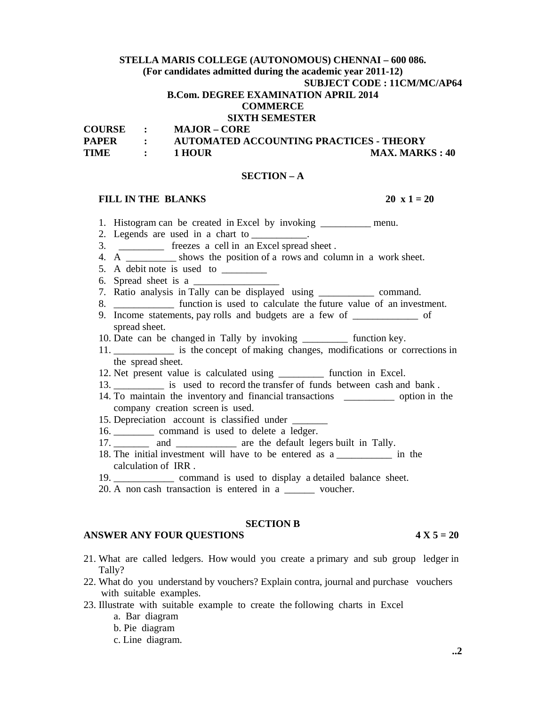# **STELLA MARIS COLLEGE (AUTONOMOUS) CHENNAI – 600 086. (For candidates admitted during the academic year 2011-12) SUBJECT CODE : 11CM/MC/AP64 B.Com. DEGREE EXAMINATION APRIL 2014**

### **COMMERCE**

# **SIXTH SEMESTER**

**COURSE : MAJOR – CORE** 

| <b>PAPER</b> | AUTOMATED ACCOUNTING PRACTICES - THEORY |                       |
|--------------|-----------------------------------------|-----------------------|
| TIME         | 1 HOUR                                  | <b>MAX. MARKS: 40</b> |

### **SECTION – A**

### **FILL IN THE BLANKS** 20 x 1 = 20

- 1. Histogram can be created in Excel by invoking \_\_\_\_\_\_\_\_\_\_ menu.
- 2. Legends are used in a chart to
- 3. \_\_\_\_\_\_\_\_\_ freezes a cell in an Excel spread sheet .
- 4. A shows the position of a rows and column in a work sheet.
- 5. A debit note is used to  $\qquad \qquad$
- 6. Spread sheet is a
- 7. Ratio analysis in Tally can be displayed using \_\_\_\_\_\_\_\_\_\_\_ command.
- 8. **Example 1** function is used to calculate the future value of an investment.
- 9. Income statements, pay rolls and budgets are a few of \_\_\_\_\_\_\_\_\_\_\_\_\_ of spread sheet.
- 10. Date can be changed in Tally by invoking \_\_\_\_\_\_\_\_\_ function key.
- 11. \_\_\_\_\_\_\_\_\_\_\_\_ is the concept of making changes, modifications or corrections in the spread sheet.
- 12. Net present value is calculated using \_\_\_\_\_\_\_\_\_ function in Excel.
- 13. \_\_\_\_\_\_\_\_\_\_ is used to record the transfer of funds between cash and bank .
- 14. To maintain the inventory and financial transactions \_\_\_\_\_\_\_\_\_\_ option in the company creation screen is used.
- 15. Depreciation account is classified under \_\_\_\_\_\_\_
- 16. \_\_\_\_\_\_\_\_ command is used to delete a ledger.
- 17. and are the default legers built in Tally.
- 18. The initial investment will have to be entered as a \_\_\_\_\_\_\_\_\_\_\_ in the calculation of IRR .
- 19. command is used to display a detailed balance sheet.
- 20. A non cash transaction is entered in a \_\_\_\_\_\_ voucher.

### **SECTION B**

### **ANSWER ANY FOUR QUESTIONS 4 X 5 = 20**

- 21. What are called ledgers. How would you create a primary and sub group ledger in Tally?
- 22. What do you understand by vouchers? Explain contra, journal and purchase vouchers with suitable examples.
- 23. Illustrate with suitable example to create the following charts in Excel
	- a. Bar diagram
	- b. Pie diagram
	- c. Line diagram.

**..2**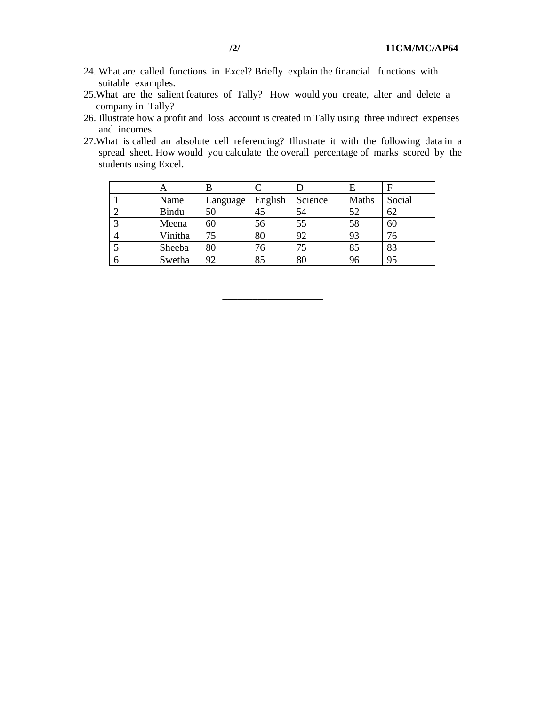- 24. What are called functions in Excel? Briefly explain the financial functions with suitable examples.
- 25.What are the salient features of Tally? How would you create, alter and delete a company in Tally?
- 26. Illustrate how a profit and loss account is created in Tally using three indirect expenses and incomes.
- 27.What is called an absolute cell referencing? Illustrate it with the following data in a spread sheet. How would you calculate the overall percentage of marks scored by the students using Excel.

|              | A       | В        |         |         | Е     | F      |
|--------------|---------|----------|---------|---------|-------|--------|
|              | Name    | Language | English | Science | Maths | Social |
|              | Bindu   | 50       | 45      | 54      | 52    | 62     |
|              | Meena   | 60       | 56      | 55      | 58    | 60     |
|              | Vinitha |          | 80      | 92      | 93    | 76     |
|              | Sheeba  | 80       | 76      | 75      | 85    | 83     |
| <sub>0</sub> | Swetha  | 92       | 85      | 80      | 96    | 95     |

**\_\_\_\_\_\_\_\_\_\_\_\_\_\_\_\_\_\_\_\_**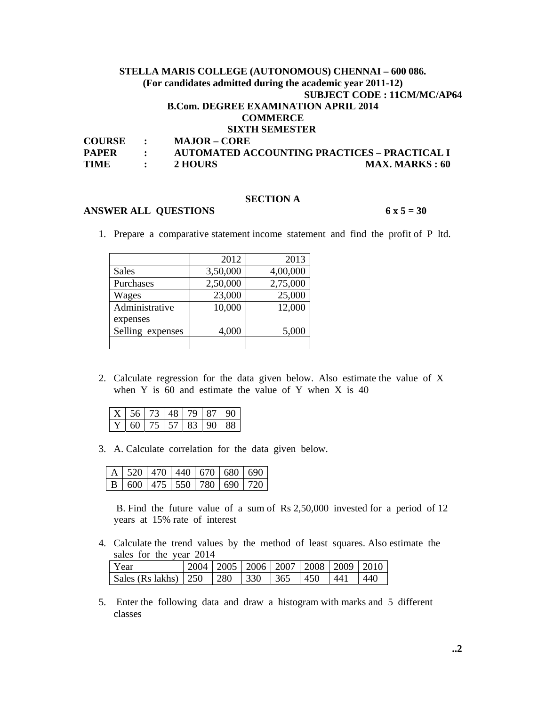# **STELLA MARIS COLLEGE (AUTONOMOUS) CHENNAI – 600 086. (For candidates admitted during the academic year 2011-12) SUBJECT CODE : 11CM/MC/AP64 B.Com. DEGREE EXAMINATION APRIL 2014 COMMERCE SIXTH SEMESTER**<br>COURSE : MAJOR - CORE **MAJOR – CORE**

| - UUNDE      | $MAMUN = UNIN$ |                                                     |
|--------------|----------------|-----------------------------------------------------|
| <b>PAPER</b> |                | <b>AUTOMATED ACCOUNTING PRACTICES – PRACTICAL I</b> |
| <b>TIME</b>  | 2 HOURS        | <b>MAX. MARKS</b> : 60                              |

## **SECTION A**

## **ANSWER ALL QUESTIONS 6 x 5 = 30**

1. Prepare a comparative statement income statement and find the profit of P ltd.

|                  | 2012     | 2013     |
|------------------|----------|----------|
| <b>Sales</b>     | 3,50,000 | 4,00,000 |
| Purchases        | 2,50,000 | 2,75,000 |
| Wages            | 23,000   | 25,000   |
| Administrative   | 10,000   | 12,000   |
| expenses         |          |          |
| Selling expenses | 4,000    | 5,000    |
|                  |          |          |

2. Calculate regression for the data given below. Also estimate the value of X when Y is  $60$  and estimate the value of Y when X is  $40$ 

| $\begin{array}{c c c c c c c c} \hline & X & 56 & 73 & \hline \end{array}$ | $\Delta$ 8 <sup><math>+</math></sup> | 79   87                |  |
|----------------------------------------------------------------------------|--------------------------------------|------------------------|--|
| 60                                                                         |                                      | 75   57   83   90   88 |  |

3. A. Calculate correlation for the data given below.

|  | $A$   520   470   440   670   680   690 |  |                                       |
|--|-----------------------------------------|--|---------------------------------------|
|  |                                         |  | B   600   475   550   780   690   720 |

 B. Find the future value of a sum of Rs 2,50,000 invested for a period of 12 years at 15% rate of interest

4. Calculate the trend values by the method of least squares. Also estimate the sales for the year 2014

| ∣ Year                                               |  |  | 2004   2005   2006   2007   2008   2009   2010 |        |
|------------------------------------------------------|--|--|------------------------------------------------|--------|
| Sales (Rs lakhs)   250   280   330   365   450   441 |  |  |                                                | $-440$ |

5. Enter the following data and draw a histogram with marks and 5 different classes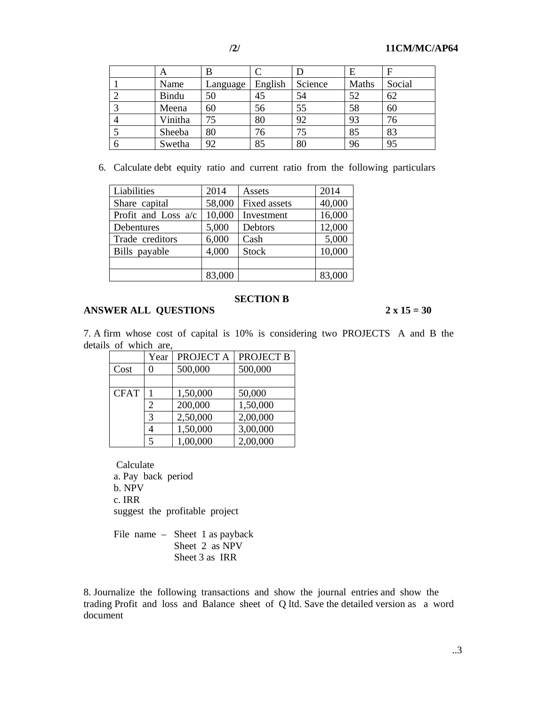|   | Α            | В        |         |         | Ε     | F      |
|---|--------------|----------|---------|---------|-------|--------|
|   | Name         | Language | English | Science | Maths | Social |
|   | <b>Bindu</b> | 50       | 45      | 54      | 52    | 62     |
|   | Meena        | 60       | 56      | 55      | 58    | 60     |
|   | Vinitha      | 75       | 80      | 92      | 93    | 76     |
|   | Sheeba       | 80       | 76      | 75      | 85    | 83     |
| 6 | Swetha       | 92       | 85      | 80      | 96    | 95     |

6. Calculate debt equity ratio and current ratio from the following particulars

| Liabilities         | 2014   | Assets              | 2014   |
|---------------------|--------|---------------------|--------|
| Share capital       | 58,000 | <b>Fixed assets</b> | 40,000 |
| Profit and Loss a/c | 10,000 | Investment          | 16,000 |
| Debentures          | 5,000  | Debtors             | 12,000 |
| Trade creditors     | 6,000  | Cash                | 5,000  |
| Bills payable       | 4,000  | <b>Stock</b>        | 10,000 |
|                     |        |                     |        |
|                     | 83,000 |                     | 83,000 |

### **SECTION B**

# **ANSWER ALL QUESTIONS 2 x 15 = 30**

7. A firm whose cost of capital is 10% is considering two PROJECTS A and B the details of which are,

|             | Year                        | PROJECT A | <b>PROJECT B</b> |
|-------------|-----------------------------|-----------|------------------|
| Cost        |                             | 500,000   | 500,000          |
|             |                             |           |                  |
| <b>CFAT</b> |                             | 1,50,000  | 50,000           |
|             | $\mathcal{D}_{\mathcal{L}}$ | 200,000   | 1,50,000         |
|             | 3                           | 2,50,000  | 2,00,000         |
|             |                             | 1,50,000  | 3,00,000         |
|             |                             | 1,00,000  | 2,00,000         |

 Calculate a. Pay back period b. NPV c. IRR suggest the profitable project

File name – Sheet 1 as payback Sheet 2 as NPV Sheet 3 as IRR

8. Journalize the following transactions and show the journal entries and show the trading Profit and loss and Balance sheet of Q ltd. Save the detailed version as a word document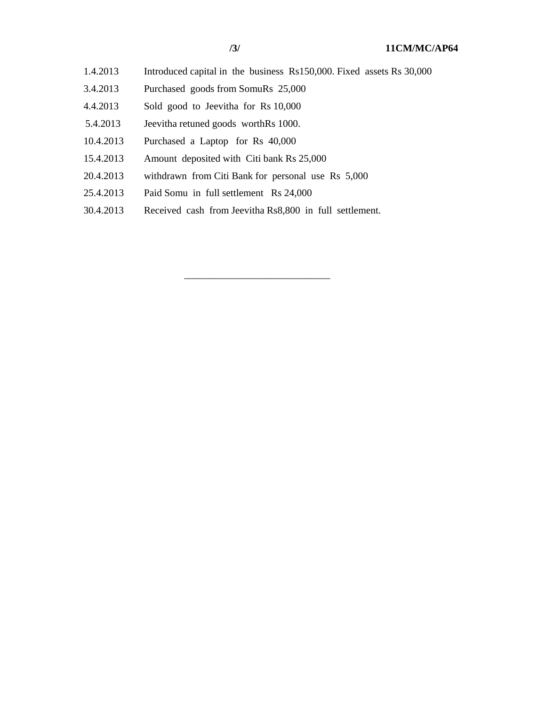- 
- 1.4.2013 Introduced capital in the business Rs150,000. Fixed assets Rs 30,000
- 3.4.2013 Purchased goods from SomuRs 25,000
- 4.4.2013 Sold good to Jeevitha for Rs 10,000
- 5.4.2013 Jeevitha retuned goods worthRs 1000.
- 10.4.2013 Purchased a Laptop for Rs 40,000
- 15.4.2013 Amount deposited with Citi bank Rs 25,000

 $\frac{1}{\sqrt{2}}$  ,  $\frac{1}{\sqrt{2}}$  ,  $\frac{1}{\sqrt{2}}$  ,  $\frac{1}{\sqrt{2}}$  ,  $\frac{1}{\sqrt{2}}$  ,  $\frac{1}{\sqrt{2}}$  ,  $\frac{1}{\sqrt{2}}$  ,  $\frac{1}{\sqrt{2}}$  ,  $\frac{1}{\sqrt{2}}$  ,  $\frac{1}{\sqrt{2}}$  ,  $\frac{1}{\sqrt{2}}$  ,  $\frac{1}{\sqrt{2}}$  ,  $\frac{1}{\sqrt{2}}$  ,  $\frac{1}{\sqrt{2}}$  ,  $\frac{1}{\sqrt{2}}$ 

- 20.4.2013 withdrawn from Citi Bank for personal use Rs 5,000
- 25.4.2013 Paid Somu in full settlement Rs 24,000
- 30.4.2013 Received cash from Jeevitha Rs8,800 in full settlement.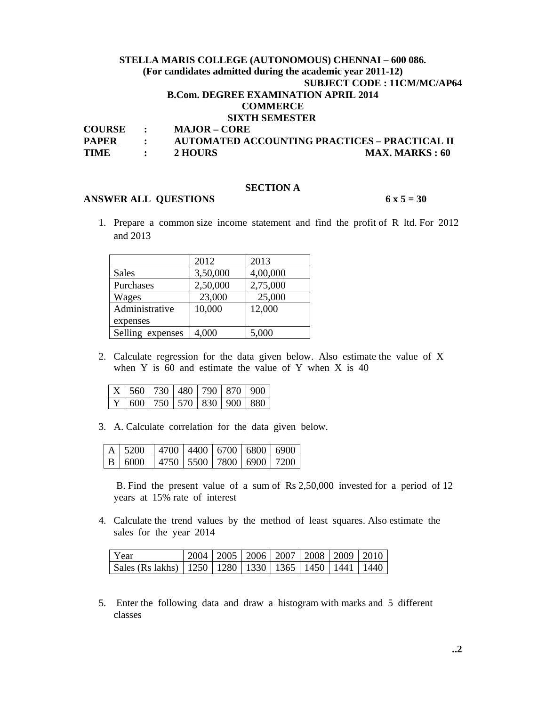# **STELLA MARIS COLLEGE (AUTONOMOUS) CHENNAI – 600 086. (For candidates admitted during the academic year 2011-12) SUBJECT CODE : 11CM/MC/AP64 B.Com. DEGREE EXAMINATION APRIL 2014 COMMERCE SIXTH SEMESTER COURSE : MAJOR – CORE PAPER : AUTOMATED ACCOUNTING PRACTICES – PRACTICAL II**

| PAPEK | AUTOMATED ACCOUNTING PRACTICES – PRACTICAL II |                       |
|-------|-----------------------------------------------|-----------------------|
| TIME  | 2 HOURS                                       | <b>MAX. MARKS: 60</b> |

## **SECTION A**

### **ANSWER ALL QUESTIONS 6 x 5 = 30**

1. Prepare a common size income statement and find the profit of R ltd. For 2012 and 2013

|                  | 2012     | 2013     |
|------------------|----------|----------|
| <b>Sales</b>     | 3,50,000 | 4,00,000 |
| Purchases        | 2,50,000 | 2,75,000 |
| Wages            | 23,000   | 25,000   |
| Administrative   | 10,000   | 12,000   |
| expenses         |          |          |
| Selling expenses | 4,000    | 5,000    |

2. Calculate regression for the data given below. Also estimate the value of X when Y is  $60$  and estimate the value of Y when X is  $40$ 

|  |  |  | $\mid$ X $\mid$ 560 $\mid$ 730 $\mid$ 480 $\mid$ 790 $\mid$ 870 $\mid$ 900 $\mid$ |
|--|--|--|-----------------------------------------------------------------------------------|
|  |  |  | $\boxed{Y}$ 600 750 570 830 900 880                                               |

3. A. Calculate correlation for the data given below.

| $A \mid 5200$ |  |  | 4700 4400 6700 6800 6900 |
|---------------|--|--|--------------------------|
| B 6000        |  |  | 4750 5500 7800 6900 7200 |

 B. Find the present value of a sum of Rs 2,50,000 invested for a period of 12 years at 15% rate of interest

4. Calculate the trend values by the method of least squares. Also estimate the sales for the year 2014

| l Year                                                            |  |  | 2004   2005   2006   2007   2008   2009   2010 |  |
|-------------------------------------------------------------------|--|--|------------------------------------------------|--|
| Sales (Rs lakhs)   1250   1280   1330   1365   1450   1441   1440 |  |  |                                                |  |

5. Enter the following data and draw a histogram with marks and 5 different classes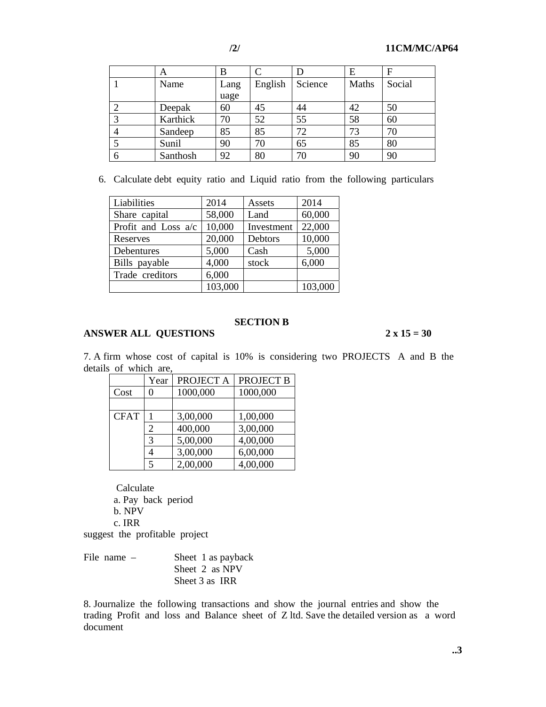|   | Α        | B    |         |         | Е     | F      |
|---|----------|------|---------|---------|-------|--------|
|   | Name     | Lang | English | Science | Maths | Social |
|   |          | uage |         |         |       |        |
|   | Deepak   | 60   | 45      | 44      | 42    | 50     |
|   | Karthick | 70   | 52      | 55      | 58    | 60     |
|   | Sandeep  | 85   | 85      | 72      | 73    | 70     |
|   | Sunil    | 90   | 70      | 65      | 85    | 80     |
| O | Santhosh | 92   | 80      | 70      | 90    | 90     |

6. Calculate debt equity ratio and Liquid ratio from the following particulars

| <b>Liabilities</b>    | 2014    | Assets     | 2014    |
|-----------------------|---------|------------|---------|
| Share capital         | 58,000  | Land       | 60,000  |
| Profit and Loss $a/c$ | 10,000  | Investment | 22,000  |
| Reserves              | 20,000  | Debtors    | 10,000  |
| Debentures            | 5,000   | Cash       | 5,000   |
| Bills payable         | 4,000   | stock      | 6,000   |
| Trade creditors       | 6,000   |            |         |
|                       | 103,000 |            | 103,000 |

# **SECTION B**

## **ANSWER ALL QUESTIONS 2 x 15 = 30**

7. A firm whose cost of capital is 10% is considering two PROJECTS A and B the details of which are,

|             | Year | PROJECT A | PROJECT B |
|-------------|------|-----------|-----------|
| Cost        |      | 1000,000  | 1000,000  |
|             |      |           |           |
| <b>CFAT</b> |      | 3,00,000  | 1,00,000  |
|             |      | 400,000   | 3,00,000  |
|             | 3    | 5,00,000  | 4,00,000  |
|             |      | 3,00,000  | 6,00,000  |
|             |      | 2,00,000  | 4,00,000  |

 Calculate a. Pay back period b. NPV c. IRR

suggest the profitable project

| File name $-$ | Sheet 1 as payback |
|---------------|--------------------|
|               | Sheet 2 as NPV     |
|               | Sheet 3 as IRR     |

8. Journalize the following transactions and show the journal entries and show the trading Profit and loss and Balance sheet of Z ltd. Save the detailed version as a word document